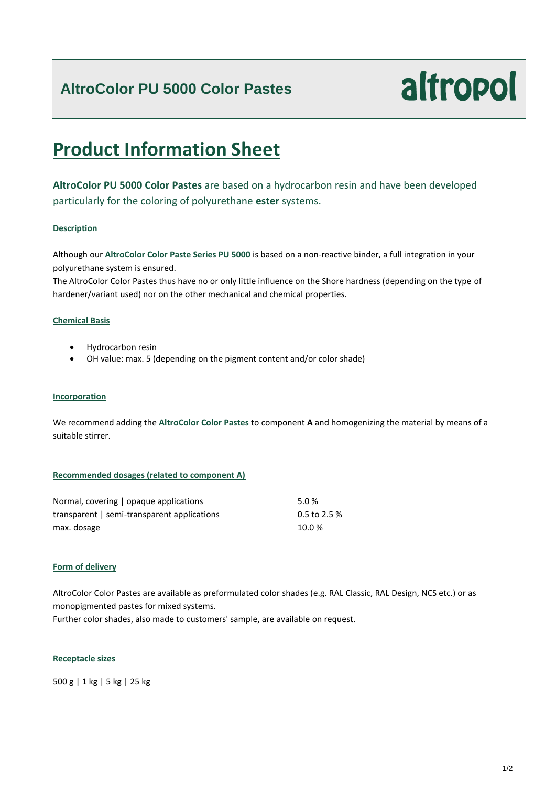### **AltroColor PU 5000 Color Pastes**

# altropol

## **Product Information Sheet**

**AltroColor PU 5000 Color Pastes** are based on a hydrocarbon resin and have been developed particularly for the coloring of polyurethane **ester** systems.

#### **Description**

Although our **AltroColor Color Paste Series PU 5000** is based on a non-reactive binder, a full integration in your polyurethane system is ensured.

The AltroColor Color Pastes thus have no or only little influence on the Shore hardness (depending on the type of hardener/variant used) nor on the other mechanical and chemical properties.

#### **Chemical Basis**

- Hydrocarbon resin
- OH value: max. 5 (depending on the pigment content and/or color shade)

#### **Incorporation**

We recommend adding the **AltroColor Color Pastes** to component **A** and homogenizing the material by means of a suitable stirrer.

#### **Recommended dosages (related to component A)**

| Normal, covering   opaque applications      | 5.0%         |
|---------------------------------------------|--------------|
| transparent   semi-transparent applications | 0.5 to 2.5 % |
| max. dosage                                 | 10.0%        |

#### **Form of delivery**

AltroColor Color Pastes are available as preformulated color shades (e.g. RAL Classic, RAL Design, NCS etc.) or as monopigmented pastes for mixed systems.

Further color shades, also made to customers' sample, are available on request.

#### **Receptacle sizes**

500 g | 1 kg | 5 kg | 25 kg